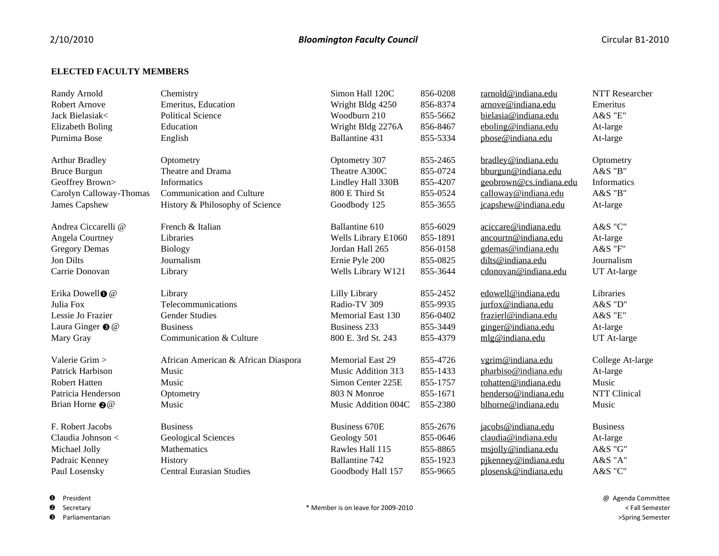## **ELECTED FACULTY MEMBERS**

| Randy Arnold                | Chemistry                           | Simon Hall 120C         | 856-0208 | rarnold@indiana.edu     | <b>NTT</b> Researcher |
|-----------------------------|-------------------------------------|-------------------------|----------|-------------------------|-----------------------|
| Robert Arnove               | Emeritus, Education                 | Wright Bldg 4250        | 856-8374 | arnove@indiana.edu      | Emeritus              |
| Jack Bielasiak<             | <b>Political Science</b>            | Woodburn 210            | 855-5662 | bielasia@indiana.edu    | <b>A&amp;S</b> "E"    |
| <b>Elizabeth Boling</b>     | Education                           | Wright Bldg 2276A       | 856-8467 | eboling@indiana.edu     | At-large              |
| Purnima Bose                | English                             | Ballantine 431          | 855-5334 | pbose@indiana.edu       | At-large              |
| <b>Arthur Bradley</b>       | Optometry                           | Optometry 307           | 855-2465 | bradley@indiana.edu     | Optometry             |
| <b>Bruce Burgun</b>         | Theatre and Drama                   | Theatre A300C           | 855-0724 | bburgun@indiana.edu     | $A&S$ "B"             |
| Geoffrey Brown>             | Informatics                         | Lindley Hall 330B       | 855-4207 | geobrown@cs.indiana.edu | Informatics           |
| Carolyn Calloway-Thomas     | Communication and Culture           | 800 E Third St          | 855-0524 | calloway@indiana.edu    | $A&S$ "B"             |
| James Capshew               | History & Philosophy of Science     | Goodbody 125            | 855-3655 | jcapshew@indiana.edu    | At-large              |
| Andrea Ciccarelli @         | French & Italian                    | Ballantine 610          | 855-6029 | aciccare@indiana.edu    | A&S "C"               |
| Angela Courtney             | Libraries                           | Wells Library E1060     | 855-1891 | ancourtn@indiana.edu    | At-large              |
| <b>Gregory Demas</b>        | <b>Biology</b>                      | Jordan Hall 265         | 856-0158 | gdemas@indiana.edu      | A&S "F"               |
| Jon Dilts                   | Journalism                          | Ernie Pyle 200          | 855-0825 | dilts@indiana.edu       | Journalism            |
| Carrie Donovan              | Library                             | Wells Library W121      | 855-3644 | cdonovan@indiana.edu    | UT At-large           |
| Erika Dowell <sup>o @</sup> | Library                             | Lilly Library           | 855-2452 | edowell@indiana.edu     | Libraries             |
| Julia Fox                   | Telecommunications                  | Radio-TV 309            | 855-9935 | jurfox@indiana.edu      | A&S "D"               |
| Lessie Jo Frazier           | <b>Gender Studies</b>               | Memorial East 130       | 856-0402 | frazierl@indiana.edu    | A&S "E"               |
| Laura Ginger <sup>o</sup> @ | <b>Business</b>                     | Business 233            | 855-3449 | ginger@indiana.edu      | At-large              |
| Mary Gray                   | Communication & Culture             | 800 E. 3rd St. 243      | 855-4379 | mlg@indiana.edu         | UT At-large           |
| Valerie Grim >              | African American & African Diaspora | <b>Memorial East 29</b> | 855-4726 | vgrim@indiana.edu       | College At-large      |
| Patrick Harbison            | Music                               | Music Addition 313      | 855-1433 | pharbiso@indiana.edu    | At-large              |
| <b>Robert Hatten</b>        | Music                               | Simon Center 225E       | 855-1757 | rohatten@indiana.edu    | Music                 |
| Patricia Henderson          | Optometry                           | 803 N Monroe            | 855-1671 | henderso@indiana.edu    | NTT Clinical          |
| Brian Horne @@              | Music                               | Music Addition 004C     | 855-2380 | blhorne@indiana.edu     | Music                 |
| F. Robert Jacobs            | <b>Business</b>                     | Business 670E           | 855-2676 | jacobs@indiana.edu      | <b>Business</b>       |
| Claudia Johnson <           | Geological Sciences                 | Geology 501             | 855-0646 | claudia@indiana.edu     | At-large              |
| Michael Jolly               | Mathematics                         | Rawles Hall 115         | 855-8865 | msjolly@indiana.edu     | A&S "G"               |
| Padraic Kenney              | <b>History</b>                      | Ballantine 742          | 855-1923 | pikenney@indiana.edu    | A&S "A"               |
| Paul Losensky               | <b>Central Eurasian Studies</b>     | Goodbody Hall 157       | 855-9665 | plosensk@indiana.edu    | A&S "C"               |
|                             |                                     |                         |          |                         |                       |

**O** President

**@** Secretary

**6** Parliamentarian

@ Agenda Committee < Fall Semester >Spring Semester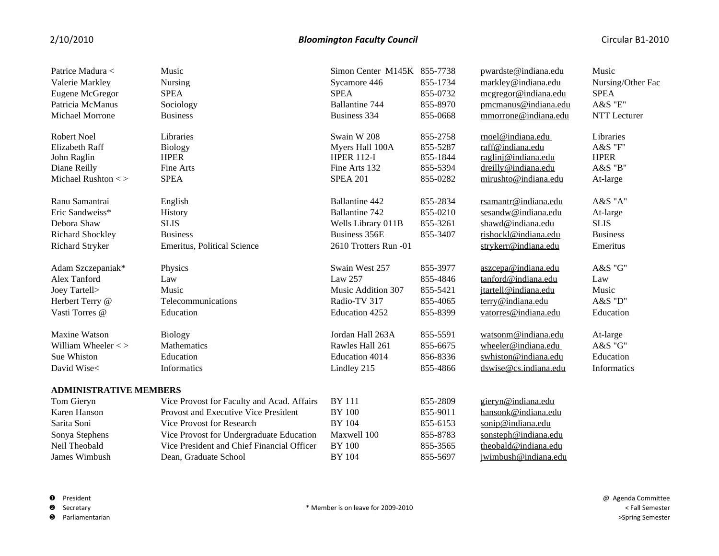## 2/10/2010 *Bloomington Faculty Council* Circular B1-2010

| Patrice Madura <              | Music                                      | Simon Center M145K 855-7738 |          | pwardste@indiana.edu  | Music             |  |
|-------------------------------|--------------------------------------------|-----------------------------|----------|-----------------------|-------------------|--|
| Valerie Markley               | Nursing                                    | Sycamore 446                | 855-1734 | markley@indiana.edu   | Nursing/Other Fac |  |
| Eugene McGregor               | <b>SPEA</b>                                | <b>SPEA</b>                 | 855-0732 | megregor@indiana.edu  | <b>SPEA</b>       |  |
| Patricia McManus              | Sociology                                  | <b>Ballantine 744</b>       | 855-8970 | pmcmanus@indiana.edu  | A&S "E"           |  |
| Michael Morrone               | <b>Business</b>                            | Business 334                | 855-0668 | mmorrone@indiana.edu  | NTT Lecturer      |  |
|                               |                                            |                             |          |                       |                   |  |
| <b>Robert Noel</b>            | Libraries                                  | Swain W 208                 | 855-2758 | rnoel@indiana.edu     | Libraries         |  |
| <b>Elizabeth Raff</b>         | <b>Biology</b>                             | Myers Hall 100A             | 855-5287 | raff@indiana.edu      | A&S "F"           |  |
| John Raglin                   | <b>HPER</b>                                | <b>HPER 112-I</b>           | 855-1844 | raglinj@indiana.edu   | <b>HPER</b>       |  |
| Diane Reilly                  | Fine Arts                                  | Fine Arts 132               | 855-5394 | dreilly@indiana.edu   | A&S "B"           |  |
| Michael Rushton $\lt$         | <b>SPEA</b>                                | <b>SPEA 201</b>             | 855-0282 | mirushto@indiana.edu  | At-large          |  |
| Ranu Samantrai                | English                                    | Ballantine 442              | 855-2834 | rsamantr@indiana.edu  | A&S "A"           |  |
| Eric Sandweiss*               | History                                    | Ballantine 742              | 855-0210 | sesandw@indiana.edu   | At-large          |  |
| Debora Shaw                   | <b>SLIS</b>                                | Wells Library 011B          | 855-3261 | shawd@indiana.edu     | <b>SLIS</b>       |  |
| Richard Shockley              | <b>Business</b>                            | <b>Business 356E</b>        | 855-3407 | rishockl@indiana.edu  | <b>Business</b>   |  |
| Richard Stryker               | Emeritus, Political Science                | 2610 Trotters Run -01       |          | strykerr@indiana.edu  | Emeritus          |  |
|                               |                                            |                             |          |                       |                   |  |
| Adam Szczepaniak*             | Physics                                    | Swain West 257              | 855-3977 | aszcepa@indiana.edu   | A&S "G"           |  |
| Alex Tanford                  | Law                                        | Law 257                     | 855-4846 | tanford@indiana.edu   | Law               |  |
| Joey Tartell>                 | Music                                      | Music Addition 307          | 855-5421 | jtartell@indiana.edu  | Music             |  |
| Herbert Terry @               | Telecommunications                         | Radio-TV 317                | 855-4065 | terry@indiana.edu     | A&S "D"           |  |
| Vasti Torres @                | Education                                  | Education 4252              | 855-8399 | vatorres@indiana.edu  | Education         |  |
| Maxine Watson                 | <b>Biology</b>                             | Jordan Hall 263A            | 855-5591 | watsonm@indiana.edu   | At-large          |  |
| William Wheeler $\lt$ >       | Mathematics                                | Rawles Hall 261             | 855-6675 | wheeler@indiana.edu   | A&S "G"           |  |
| Sue Whiston                   | Education                                  | Education 4014              | 856-8336 | swhiston@indiana.edu  | Education         |  |
| David Wise<                   | <b>Informatics</b>                         | Lindley 215                 | 855-4866 | dswise@cs.indiana.edu | Informatics       |  |
|                               |                                            |                             |          |                       |                   |  |
| <b>ADMINISTRATIVE MEMBERS</b> |                                            |                             |          |                       |                   |  |
| Tom Gieryn                    | Vice Provost for Faculty and Acad. Affairs | <b>BY</b> 111               | 855-2809 | gieryn@indiana.edu    |                   |  |
| Karen Hanson                  | Provost and Executive Vice President       | <b>BY 100</b>               | 855-9011 | hansonk@indiana.edu   |                   |  |
| Sarita Soni                   | Vice Provost for Research                  | <b>BY 104</b>               | 855-6153 | sonip@indiana.edu     |                   |  |
| Sonya Stephens                | Vice Provost for Undergraduate Education   | Maxwell 100                 | 855-8783 | sonsteph@indiana.edu  |                   |  |
| Neil Theobald                 | Vice President and Chief Financial Officer | <b>BY 100</b>               | 855-3565 | theobald@indiana.edu  |                   |  |
| James Wimbush                 | Dean, Graduate School                      | <b>BY 104</b>               | 855-5697 | jwimbush@indiana.edu  |                   |  |

**O** President

**@** Secretary

**6** Parliamentarian